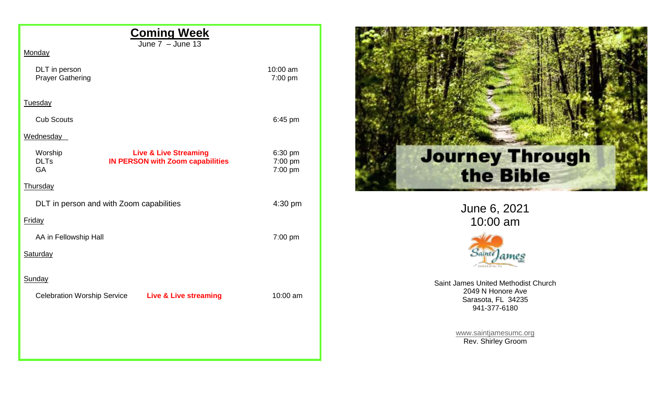| <b>Coming Week</b>                                                                                                 |                               |
|--------------------------------------------------------------------------------------------------------------------|-------------------------------|
| June $7 -$ June 13<br>Monday                                                                                       |                               |
| DLT in person<br><b>Prayer Gathering</b>                                                                           | 10:00 am<br>7:00 pm           |
| Tuesday                                                                                                            |                               |
| <b>Cub Scouts</b>                                                                                                  | 6:45 pm                       |
| Wednesday                                                                                                          |                               |
| Worship<br><b>Live &amp; Live Streaming</b><br><b>DLTs</b><br><b>IN PERSON with Zoom capabilities</b><br><b>GA</b> | 6:30 pm<br>7:00 pm<br>7:00 pm |
| Thursday                                                                                                           |                               |
| DLT in person and with Zoom capabilities                                                                           | 4:30 pm                       |
| Friday                                                                                                             |                               |
| AA in Fellowship Hall                                                                                              | 7:00 pm                       |
| Saturday                                                                                                           |                               |
| Sunday                                                                                                             |                               |
| Celebration Worship Service Live & Live streaming                                                                  | 10:00 am                      |
|                                                                                                                    |                               |
|                                                                                                                    |                               |
|                                                                                                                    |                               |



June 6, 2021 10:00 am



Saint James United Methodist Church 2049 N Honore Ave Sarasota, FL 34235 941-377-6180

> [www.saintjamesumc.org](http://www.saintjamesumc.org/) Rev. Shirley Groom